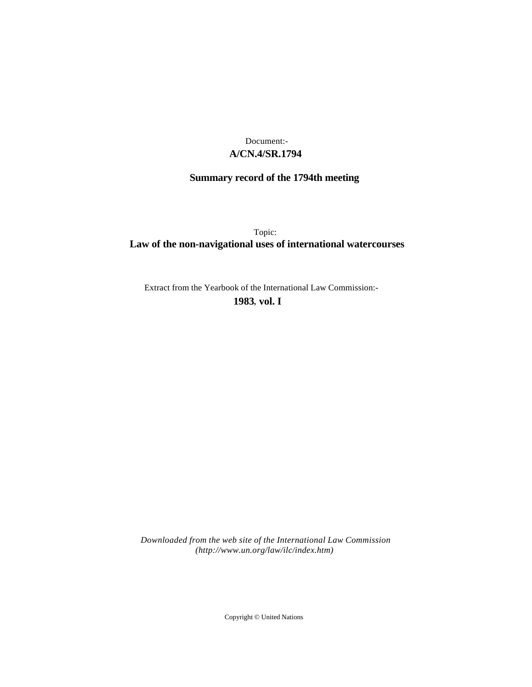## **A/CN.4/SR.1794** Document:-

# **Summary record of the 1794th meeting**

Topic: **Law of the non-navigational uses of international watercourses**

Extract from the Yearbook of the International Law Commission:-

**1983** , **vol. I**

*Downloaded from the web site of the International Law Commission (http://www.un.org/law/ilc/index.htm)*

Copyright © United Nations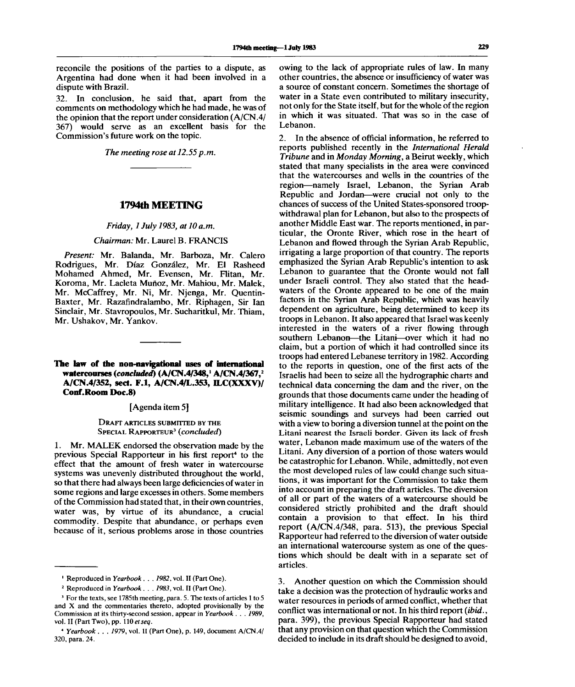reconcile the positions of the parties to a dispute, as Argentina had done when it had been involved in a dispute with Brazil.

32. In conclusion, he said that, apart from the comments on methodology which he had made, he was of the opinion that the report under consideration (A/CN.4/ 367) would serve as an excellent basis for the Commission's future work on the topic.

*The meeting rose at 12.55p.m.*

## **1794th MEETING**

#### *Friday, 1 July 1983, at 10 a.m.*

#### *Chairman:* Mr. Laurel B. FRANCIS

*Present:* Mr. Balanda, Mr. Barboza, Mr. Calero Rodrigues, Mr. Diaz Gonzalez, Mr. El Rasheed Mohamed Ahmed, Mr. Evensen, Mr. Flitan, Mr. Koroma, Mr. Lacleta Muñoz, Mr. Mahiou, Mr. Malek, Mr. McCaffrey, Mr. Ni, Mr. Njenga, Mr. Quentin-Baxter, Mr. Razafindralambo, Mr. Riphagen, Sir Ian Sinclair, Mr. Stavropoulos, Mr. Sucharitkul, Mr. Thiam, Mr. Ushakov, Mr. Yankov.

## **The law of the non-navigational uses of international watercourses** *{concluded)* **(A/CN.4/348,<sup>1</sup> A/CN.4/367,<sup>2</sup> A/CN.4/352, sect. F.I, A/CN.4/L.353, ILC(XXXV)/ Conf.Room Doc.8)**

#### [Agenda item 5]

#### DRAFT ARTICLES SUBMITTED BY THE SPECIAL RAPPORTEUR<sup>3</sup>  *(concluded)*

1. Mr. MALEK endorsed the observation made by the previous Special Rapporteur in his first report<sup>4</sup> to the effect that the amount of fresh water in watercourse systems was unevenly distributed throughout the world, so that there had always been large deficiencies of water in some regions and large excesses in others. Some members of the Commission had stated that, in their own countries, water was, by virtue of its abundance, a crucial commodity. Despite that abundance, or perhaps even because of it, serious problems arose in those countries

owing to the lack of appropriate rules of law. In many other countries, the absence or insufficiency of water was a source of constant concern. Sometimes the shortage of water in a State even contributed to military insecurity, not only for the State itself, but for the whole of the region in which it was situated. That was so in the case of Lebanon.

2. In the absence of official information, he referred to reports published recently in the *International Herald Tribune* and in *Monday Morning,* a Beirut weekly, which stated that many specialists in the area were convinced that the watercourses and wells in the countries of the region—namely Israel, Lebanon, the Syrian Arab Republic and Jordan—were crucial not only to the chances of success of the United States-sponsored troopwithdrawal plan for Lebanon, but also to the prospects of another Middle East war. The reports mentioned, in particular, the Oronte River, which rose in the heart of Lebanon and flowed through the Syrian Arab Republic, irrigating a large proportion of that country. The reports emphasized the Syrian Arab Republic's intention to ask Lebanon to guarantee that the Oronte would not fall under Israeli control. They also stated that the headwaters of the Oronte appeared to be one of the main factors in the Syrian Arab Republic, which was heavily dependent on agriculture, being determined to keep its troops in Lebanon. It also appeared that Israel was keenly interested in the waters of a river flowing through southern Lebanon—the Litani—over which it had no claim, but a portion of which it had controlled since its troops had entered Lebanese territory in 1982. According to the reports in question, one of the first acts of the Israelis had been to seize all the hydrographic charts and technical data concerning the dam and the river, on the grounds that those documents came under the heading of military intelligence. It had also been acknowledged that seismic soundings and surveys had been carried out with a view to boring a diversion tunnel at the point on the Litani nearest the Israeli border. Given its lack of fresh water, Lebanon made maximum use of the waters of the Litani. Any diversion of a portion of those waters would be catastrophic for Lebanon. While, admittedly, not even the most developed rules of law could change such situations, it was important for the Commission to take them into account in preparing the draft articles. The diversion of all or part of the waters of a watercourse should be considered strictly prohibited and the draft should contain a provision to that effect. In his third report (A/CN.4/348, para. 513), the previous Special Rapporteur had referred to the diversion of water outside an international watercourse system as one of the quesan international watercourse system as one of the ques-<br>tions which should be don't with in a separate set of uons w.<br>articles.

3. Another question on which the Commission should take a decision was the protection of hydraulic works and water resources in periods of armed conflict, whether that conflict was international or not. In his third report *{ibid.*, para. 399), the previous Special Rapporteur had stated that any provision on that question which the Commission decided to include in its draft should be designed to avoid,

<sup>1</sup> Reproduced in *Yearbook. . . 1982,* vol. II (Part One).

<sup>2</sup> Reproduced in *Yearbook . . . 1983,* vol. II (Part One).

<sup>&</sup>lt;sup>3</sup> For the texts, see 1785th meeting, para. 5. The texts of articles 1 to 5 and X and the commentaries thereto, adopted provisionally by the Commission at its thirty-second session, appear in *Yearbook . . . 1989,* vol. II (Part Two), pp. 110 et seq.

<sup>4</sup>  *Yearbook . . . 1979,* vol. II (Part One), p. 149, document A/CN.4/ 320, para. 24.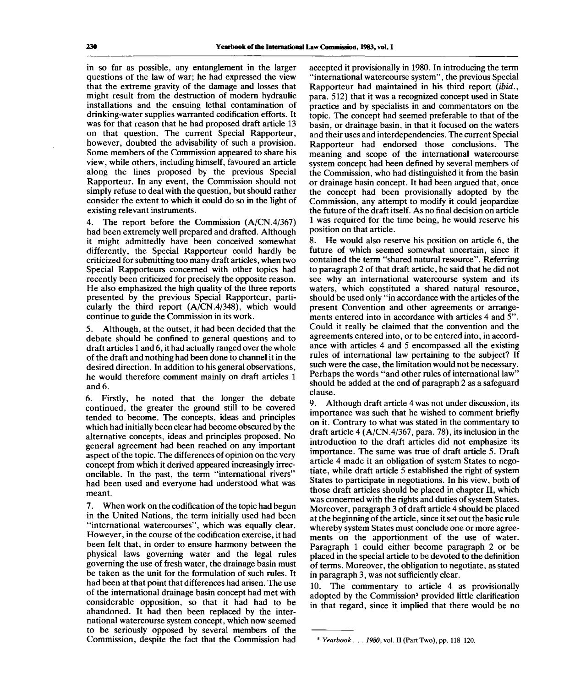in so far as possible, any entanglement in the larger questions of the law of war; he had expressed the view that the extreme gravity of the damage and losses that might result from the destruction of modern hydraulic installations and the ensuing lethal contamination of drinking-water supplies warranted codification efforts. It was for that reason that he had proposed draft article 13 on that question. The current Special Rapporteur, however, doubted the advisability of such a provision. Some members of the Commission appeared to share his view, while others, including himself, favoured an article along the lines proposed by the previous Special Rapporteur. In any event, the Commission should not simply refuse to deal with the question, but should rather consider the extent to which it could do so in the light of existing relevant instruments.

4. The report before the Commission (A/CN. 4/367) had been extremely well prepared and drafted. Although it might admittedly have been conceived somewhat differently, the Special Rapporteur could hardly be criticized for submitting too many draft articles, when two Special Rapporteurs concerned with other topics had recently been criticized for precisely the opposite reason. He also emphasized the high quality of the three reports presented by the previous Special Rapporteur, particularly the third report (A/CN.4/348), which would continue to guide the Commission in its work.

5. Although, at the outset, it had been decided that the debate should be confined to general questions and to draft articles 1 and 6, it had actually ranged over the whole of the draft and nothing had been done to channel it in the desired direction. In addition to his general observations, he would therefore comment mainly on draft articles 1 and 6.

6. Firstly, he noted that the longer the debate continued, the greater the ground still to be covered tended to become. The concepts, ideas and principles which had initially been clear had become obscured by the alternative concepts, ideas and principles proposed. No general agreement had been reached on any important aspect of the topic. The differences of opinion on the very concept from which it derived appeared increasingly irreconcilable. In the past, the term "international rivers" had been used and everyone had understood what was meant.

7. When work on the codification of the topic had begun in the United Nations, the term initially used had been "international watercourses", which was equally clear. However, in the course of the codification exercise, it had been felt that, in order to ensure harmony between the physical laws governing water and the legal rules governing the use of fresh water, the drainage basin must be taken as the unit for the formulation of such rules. It had been at that point that differences had arisen. The use of the international drainage basin concept had met with considerable opposition, so that it had had to be abandoned. It had then been replaced by the international watercourse system concept, which now seemed to be seriously opposed by several members of the Commission, despite the fact that the Commission had

accepted it provisionally in 1980. In introducing the term "international watercourse system", the previous Special Rapporteur had maintained in his third report *(ibid.,* para. 512) that it was a recognized concept used in State practice and by specialists in and commentators on the topic. The concept had seemed preferable to that of the basin, or drainage basin, in that it focused on the waters and their uses and interdependencies. The current Special Rapporteur had endorsed those conclusions. The meaning and scope of the international watercourse system concept had been defined by several members of the Commission, who had distinguished it from the basin or drainage basin concept. It had been argued that, once the concept had been provisionally adopted by the Commission, any attempt to modify it could jeopardize the future of the draft itself. As no final decision on article 1 was required for the time being, he would reserve his position on that article.

8. He would also reserve his position on article 6, the future of which seemed somewhat uncertain, since it contained the term "shared natural resource". Referring to paragraph 2 of that draft article, he said that he did not see why an international watercourse system and its waters, which constituted a shared natural resource, should be used only "in accordance with the articles of the present Convention and other agreements or arrangements entered into in accordance with articles 4 and 5". Could it really be claimed that the convention and the agreements entered into, or to be entered into, in accordance with articles 4 and 5 encompassed all the existing rules of international law pertaining to the subject? If such were the case, the limitation would not be necessary. Perhaps the words "and other rules of international law" should be added at the end of paragraph 2 as a safeguard clause.

9. Although draft article 4 was not under discussion, its importance was such that he wished to comment briefly on it. Contrary to what was stated in the commentary to draft article 4 (A/CN.4/367, para. 78), its inclusion in the introduction to the draft articles did not emphasize its importance. The same was true of draft article 5. Draft article 4 made it an obligation of system States to negotiate, while draft article 5 established the right of system States to participate in negotiations. In his view, both of those draft articles should be placed in chapter II, which was concerned with the rights and duties of system States. Moreover, paragraph 3 of draft article 4 should be placed at the beginning of the article, since it set out the basic rule whereby system States must conclude one or more agreements on the apportionment of the use of water. Paragraph 1 could either become paragraph 2 or be placed in the special article to be devoted to the definition of terms. Moreover, the obligation to negotiate, as stated in paragraph 3, was not sufficiently clear.

10. The commentary to article 4 as provisionally adopted by the Commission<sup>5</sup> provided little clarification in that regard, since it implied that there would be no

*Yearbook . . . 1980,* vol. II (Part Two), pp. 118-120.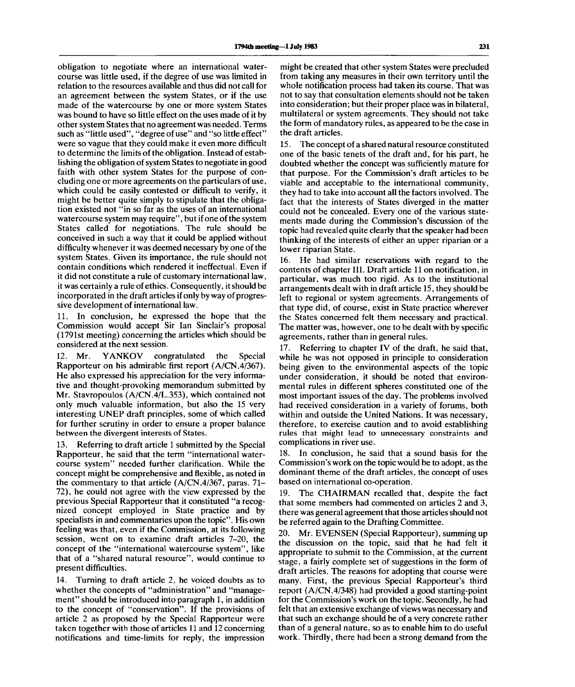obligation to negotiate where an international watercourse was little used, if the degree of use was limited in relation to the resources available and thus did not call for an agreement between the system States, or if the use made of the watercourse by one or more system States was bound to have so little effect on the uses made of it by other system States that no agreement was needed. Terms such as "little used", "degree of use" and "so little effect" were so vague that they could make it even more difficult to determine the limits of the obligation. Instead of establishing the obligation of system States to negotiate in good faith with other system States for the purpose of concluding one or more agreements on the particulars of use, which could be easily contested or difficult to verify, it might be better quite simply to stipulate that the obligation existed not "in so far as the uses of an international watercourse system may require", but if one of the system States called for negotiations. The rule should be conceived in such a way that it could be applied without difficulty whenever it was deemed necessary by one of the system States. Given its importance, the rule should not contain conditions which rendered it ineffectual. Even if it did not constitute a rule of customary international law, it was certainly a rule of ethics. Consequently, it should be incorporated in the draft articles if only byway of progressive development of international law.

11. In conclusion, he expressed the hope that the Commission would accept Sir Ian Sinclair's proposal (1791st meeting) concerning the articles which should be considered at the next session.

12. Mr. YANKOV congratulated the Special Rapporteur on his admirable first report (A/CN.4/367). He also expressed his appreciation for the very informative and thought-provoking memorandum submitted by Mr. Stavropoulos (A/CN.4/L.353), which contained not only much valuable information, but also the 15 very interesting UNEP draft principles, some of which called for further scrutiny in order to ensure a proper balance between the divergent interests of States.

13. Referring to draft article 1 submitted by the Special Rapporteur, he said that the term "international watercourse system" needed further clarification. While the concept might be comprehensive and flexible, as noted in the commentary to that article (A/CN.4/367, paras. 71- 72), he could not agree with the view expressed by the previous Special Rapporteur that it constituted "a recognized concept employed in State practice and by specialists in and commentaries upon the topic". His own feeling was that, even if the Commission, at its following session, went on to examine draft articles 7-20, the concept of the "international watercourse system", like that of a "shared natural resource", would continue to present difficulties.

14. Turning to draft article 2, he voiced doubts as to whether the concepts of "administration" and "management" should be introduced into paragraph 1, in addition to the concept of "conservation". If the provisions of article 2 as proposed by the Special Rapporteur were taken together with those of articles 11 and 12 concerning notifications and time-limits for reply, the impression

might be created that other system States were precluded from taking any measures in their own territory until the whole notification process had taken its course. That was not to say that consultation elements should not be taken into consideration; but their proper place was in bilateral, multilateral or system agreements. They should not take the form of mandatory rules, as appeared to be the case in the draft articles.

15. The concept of a shared natural resource constituted one of the basic tenets of the draft and, for his part, he doubted whether the concept was sufficiently mature for that purpose. For the Commission's draft articles to be viable and acceptable to the international community, they had to take into account all the factors involved. The fact that the interests of States diverged in the matter could not be concealed. Every one of the various statements made during the Commission's discussion of the topic had revealed quite clearly that the speaker had been thinking of the interests of either an upper riparian or a lower riparian State.

16. He had similar reservations with regard to the contents of chapter III. Draft article 11 on notification, in particular, was much too rigid. As to the institutional arrangements dealt with in draft article 15, they should be left to regional or system agreements. Arrangements of that type did, of course, exist in State practice wherever the States concerned felt them necessary and practical. The matter was, however, one to be dealt with by specific agreements, rather than in general rules.

17. Referring to chapter IV of the draft, he said that, while he was not opposed in principle to consideration being given to the environmental aspects of the topic under consideration, it should be noted that environmental rules in different spheres constituted one of the most important issues of the day. The problems involved had received consideration in a variety of forums, both within and outside the United Nations. It was necessary, therefore, to exercise caution and to avoid establishing rules that might lead to unnecessary constraints and complications in river use.

18. In conclusion, he said that a sound basis for the Commission's work on the topic would be to adopt, as the dominant theme of the draft articles, the concept of uses based on international co-operation.

19. The CHAIRMAN recalled that, despite the fact that some members had commented on articles 2 and 3, there was general agreement that those articles should not be referred again to the Drafting Committee.

20. Mr. EVENSEN (Special Rapporteur), summing up the discussion on the topic, said that he had felt it appropriate to submit to the Commission, at the current stage, a fairly complete set of suggestions in the form of draft articles. The reasons for adopting that course were many. First, the previous Special Rapporteur's third report (A/CN.4/348) had provided a good starting-point for the Commission's work on the topic. Secondly, he had felt that an extensive exchange of views was necessary and that such an exchange should be of a very concrete rather than of a general nature, so as to enable him to do useful work. Thirdly, there had been a strong demand from the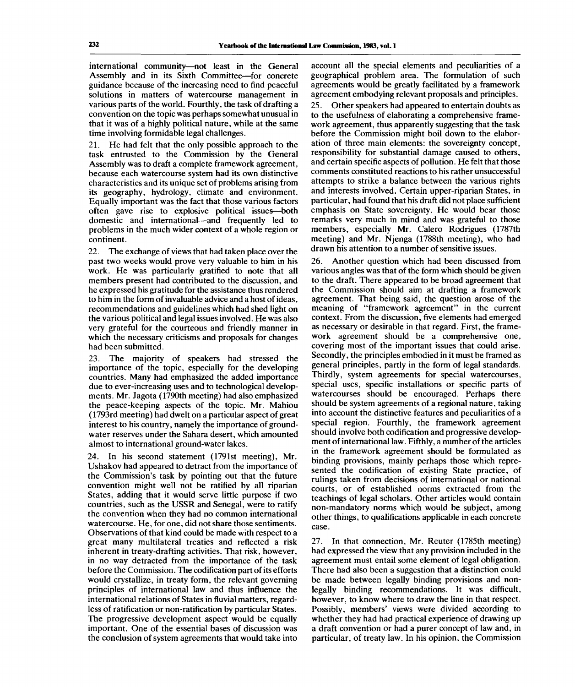international community—not least in the General Assembly and in its Sixth Committee—for concrete guidance because of the increasing need to find peaceful solutions in matters of watercourse management in various parts of the world. Fourthly, the task of drafting a convention on the topic was perhaps somewhat unusual in that it was of a highly political nature, while at the same time involving formidable legal challenges.

21. He had felt that the only possible approach to the task entrusted to the Commission by the General Assembly was to draft a complete framework agreement, because each watercourse system had its own distinctive characteristics and its unique set of problems arising from its geography, hydrology, climate and environment. Equally important was the fact that those various factors often gave rise to explosive political issues—both domestic and international—and frequently led to problems in the much wider context of a whole region or continent.

22. The exchange of views that had taken place over the past two weeks would prove very valuable to him in his work. He was particularly gratified to note that all members present had contributed to the discussion, and he expressed his gratitude for the assistance thus rendered to him in the form of invaluable advice and a host of ideas, recommendations and guidelines which had shed light on the various political and legal issues involved. He was also very grateful for the courteous and friendly manner in which the necessary criticisms and proposals for changes had been submitted.

23. The majority of speakers had stressed the importance of the topic, especially for the developing countries. Many had emphasized the added importance due to ever-increasing uses and to technological developments. Mr. Jagota (1790th meeting) had also emphasized the peace-keeping aspects of the topic. Mr. Mahiou (1793rd meeting) had dwelt on a particular aspect of great interest to his country, namely the importance of groundwater reserves under the Sahara desert, which amounted almost to international ground-water lakes.

24. In his second statement (1791st meeting), Mr. Ushakov had appeared to detract from the importance of the Commission's task by pointing out that the future convention might well not be ratified by all riparian States, adding that it would serve little purpose if two countries, such as the USSR and Senegal, were to ratify the convention when they had no common international watercourse. He, for one, did not share those sentiments. Observations of that kind could be made with respect to a great many multilateral treaties and reflected a risk inherent in treaty-drafting activities. That risk, however, in no way detracted from the importance of the task before the Commission. The codification part of its efforts would crystallize, in treaty form, the relevant governing principles of international law and thus influence the international relations of States in fluvial matters, regardless of ratification or non-ratification by particular States. The progressive development aspect would be equally important. One of the essential bases of discussion was the conclusion of system agreements that would take into

account all the special elements and peculiarities of a geographical problem area. The formulation of such agreements would be greatly facilitated by a framework agreement embodying relevant proposals and principles.

25. Other speakers had appeared to entertain doubts as to the usefulness of elaborating a comprehensive framework agreement, thus apparently suggesting that the task before the Commission might boil down to the elaboration of three main elements: the sovereignty concept, responsibility for substantial damage caused to others, and certain specific aspects of pollution. He felt that those comments constituted reactions to his rather unsuccessful attempts to strike a balance between the various rights and interests involved. Certain upper-riparian States, in particular, had found that his draft did not place sufficient emphasis on State sovereignty. He would bear those remarks very much in mind and was grateful to those members, especially Mr. Calero Rodrigues (1787th meeting) and Mr. Njenga (1788th meeting), who had drawn his attention to a number of sensitive issues.

26. Another question which had been discussed from various angles was that of the form which should be given to the draft. There appeared to be broad agreement that the Commission should aim at drafting a framework agreement. That being said, the question arose of the meaning of "framework agreement" in the current context. From the discussion, five elements had emerged as necessary or desirable in that regard. First, the framework agreement should be a comprehensive one, covering most of the important issues that could arise. Secondly, the principles embodied in it must be framed as general principles, partly in the form of legal standards. Thirdly, system agreements for special watercourses, special uses, specific installations or specific parts of watercourses should be encouraged. Perhaps there should be system agreements of a regional nature, taking into account the distinctive features and peculiarities of a special region. Fourthly, the framework agreement should involve both codification and progressive development of international law. Fifthly, a number of the articles in the framework agreement should be formulated as binding provisions, mainly perhaps those which represented the codification of existing State practice, of rulings taken from decisions of international or national courts, or of established norms extracted from the teachings of legal scholars. Other articles would contain non-mandatory norms which would be subject, among other things, to qualifications applicable in each concrete case.

27. In that connection, Mr. Reuter (1785th meeting) had expressed the view that any provision included in the agreement must entail some element of legal obligation. There had also been a suggestion that a distinction could be made between legally binding provisions and nonlegally binding recommendations. It was difficult, however, to know where to draw the line in that respect. Possibly, members' views were divided according to whether they had had practical experience of drawing up a draft convention or had a purer concept of law and, in particular, of treaty law. In his opinion, the Commission